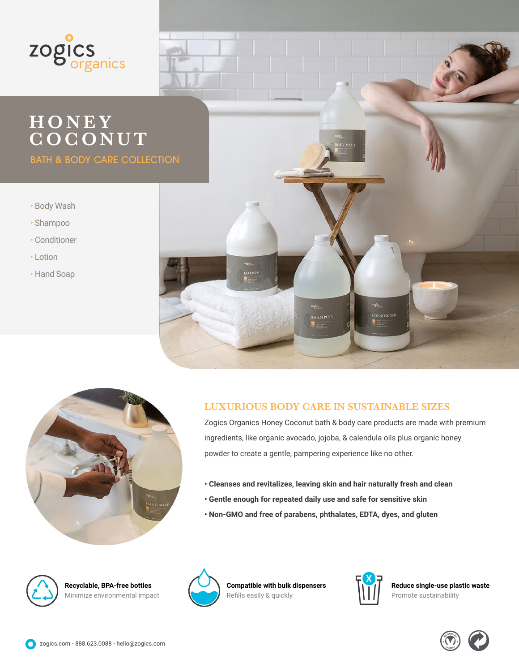

## **HONEY COCONUT**

BATH & BODY CARE COLLECTION

- Body Wash
- Shampoo
- Conditioner
- Lotion
- Hand Soap





## **LUXURIOUS BODY CARE IN SUSTAINABLE SIZES**

Zogics Organics Honey Coconut bath & body care products are made with premium ingredients, like organic avocado, jojoba, & calendula oils plus organic honey powder to create a gentle, pampering experience like no other.

- **Cleanses and revitalizes, leaving skin and hair naturally fresh and clean**
- **Gentle enough for repeated daily use and safe for sensitive skin**
- **Non-GMO and free of parabens, phthalates, EDTA, dyes, and gluten**



**Recyclable, BPA-free bottles** Minimize environmental impact



**Compatible with bulk dispensers** Refills easily & quickly



**Reduce single-use plastic waste** Promote sustainability